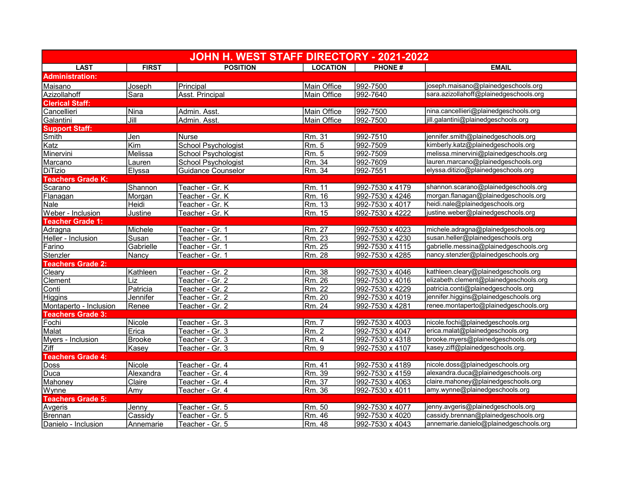| JOHN H. WEST STAFF DIRECTORY - 2021-2022 |                            |                            |                 |                 |                                        |  |  |
|------------------------------------------|----------------------------|----------------------------|-----------------|-----------------|----------------------------------------|--|--|
| <b>LAST</b>                              | <b>FIRST</b>               | <b>POSITION</b>            | <b>LOCATION</b> | <b>PHONE#</b>   | <b>EMAIL</b>                           |  |  |
| <b>Administration:</b>                   |                            |                            |                 |                 |                                        |  |  |
| Maisano                                  | Joseph                     | Principal                  | Main Office     | 992-7500        | joseph.maisano@plainedgeschools.org    |  |  |
| Azizollahoff                             | Sara                       | <b>Asst. Principal</b>     | Main Office     | 992-7640        | sara.azizollahoff@plainedgeschools.org |  |  |
| <b>Clerical Staff:</b>                   |                            |                            |                 |                 |                                        |  |  |
| Cancellieri                              | Nina                       | Admin. Asst.               | Main Office     | 992-7500        | nina.cancellieri@plainedgeschools.org  |  |  |
| Galantini                                | $\overline{\mathsf{Jill}}$ | Admin. Asst.               | Main Office     | 992-7500        | jill.galantini@plainedgeschools.org    |  |  |
| <b>Support Staff:</b>                    |                            |                            |                 |                 |                                        |  |  |
| Smith                                    | Jen                        | <b>Nurse</b>               | Rm. 31          | 992-7510        | jennifer.smith@plainedgeschools.org    |  |  |
| Katz                                     | $\overline{Kim}$           | School Psychologist        | Rm. 5           | 992-7509        | kimberly.katz@plainedgeschools.org     |  |  |
| Minervini                                | Melissa                    | <b>School Psychologist</b> | Rm. 5           | 992-7509        | melissa.minervini@plainedgeschools.org |  |  |
| Marcano                                  | Lauren                     | School Psychologist        | Rm. 34          | 992-7609        | lauren.marcano@plainedgeschools.org    |  |  |
| <b>DiTizio</b>                           | Elyssa                     | <b>Guidance Counselor</b>  | Rm. 34          | 992-7551        | elyssa.ditizio@plainedgeschools.org    |  |  |
| <b>Teachers Grade K:</b>                 |                            |                            |                 |                 |                                        |  |  |
| Scarano                                  | Shannon                    | Teacher - Gr. K            | Rm. 11          | 992-7530 x 4179 | shannon.scarano@plainedgeschools.org   |  |  |
| Flanagan                                 | Morgan                     | Teacher - Gr. K            | Rm. 16          | 992-7530 x 4246 | morgan.flanagan@plainedgeschools.org   |  |  |
| Nale                                     | Heidi                      | Teacher - Gr. K            | Rm. 13          | 992-7530 x 4017 | heidi.nale@plainedgeschools.org        |  |  |
| Weber - Inclusion                        | Justine                    | Teacher - Gr. K            | Rm. 15          | 992-7530 x 4222 | justine.weber@plainedgeschools.org     |  |  |
| <b>Teacher Grade 1:</b>                  |                            |                            |                 |                 |                                        |  |  |
| Adragna                                  | Michele                    | Teacher - Gr. 1            | Rm. 27          | 992-7530 x 4023 | michele.adragna@plainedgeschools.org   |  |  |
| Heller - Inclusion                       | Susan                      | Teacher - Gr. 1            | Rm. 23          | 992-7530 x 4230 | susan.heller@plainedgeschools.org      |  |  |
| Farino                                   | Gabrielle                  | Teacher - Gr. 1            | Rm. 25          | 992-7530 x 4115 | gabrielle.messina@plainedgeschools.org |  |  |
| Stenzler                                 | Nancy                      | Teacher - Gr. 1            | Rm. 28          | 992-7530 x 4285 | nancy.stenzler@plainedgeschools.org    |  |  |
| <b>Teachers Grade 2:</b>                 |                            |                            |                 |                 |                                        |  |  |
| Cleary                                   | Kathleen                   | Teacher - Gr. 2            | Rm. 38          | 992-7530 x 4046 | kathleen.cleary@plainedgeschools.org   |  |  |
| Clement                                  | Liz                        | Teacher - Gr. 2            | Rm. 26          | 992-7530 x 4016 | elizabeth.clement@plainedgeschools.org |  |  |
| Conti                                    | Patricia                   | Teacher - Gr. 2            | Rm. 22          | 992-7530 x 4229 | patricia.conti@plainedgeschools.org    |  |  |
| Higgins                                  | Jennifer                   | Teacher - Gr. 2            | Rm. 20          | 992-7530 x 4019 | jennifer.higgins@plainedgeschools.org  |  |  |
| Montaperto - Inclusion                   | Renee                      | Teacher - Gr. 2            | Rm. 24          | 992-7530 x 4281 | renee.montaperto@plainedgeschools.org  |  |  |
| <b>Teachers Grade 3:</b>                 |                            |                            |                 |                 |                                        |  |  |
| Fochi                                    | Nicole                     | Teacher - Gr. 3            | <u> FRm. 7</u>  | 992-7530 x 4003 | nicole.fochi@plainedgeschools.org      |  |  |
| Malat                                    | Erica                      | Teacher - Gr. 3            | Rm. 2           | 992-7530 x 4047 | erica.malat@plainedgeschools.org       |  |  |
| Myers - Inclusion                        | <b>Brooke</b>              | Teacher - Gr. 3            | Rm. 4           | 992-7530 x 4318 | brooke.myers@plainedgeschools.org      |  |  |
| Ziff                                     | Kasey                      | Teacher - Gr. 3            | Rm. 9           | 992-7530 x 4107 | kasey.ziff@plainedgeschools.org.       |  |  |
| <b>Teachers Grade 4:</b>                 |                            |                            |                 |                 |                                        |  |  |
| Doss                                     | Nicole                     | Teacher - Gr. 4            | Rm. 41          | 992-7530 x 4189 | nicole.doss@plainedgeschools.org       |  |  |
| Duca                                     | Alexandra                  | Teacher - Gr. 4            | Rm. 39          | 992-7530 x 4159 | alexandra.duca@plainedgeschools.org    |  |  |
| Mahoney                                  | Claire                     | Teacher - Gr. 4            | Rm. 37          | 992-7530 x 4063 | claire.mahoney@plainedgeschools.org    |  |  |
| Wynne                                    | Amy                        | Teacher - Gr. 4            | Rm. 36          | 992-7530 x 4011 | amy.wynne@plainedgeschools.org         |  |  |
| <b>Teachers Grade 5:</b>                 |                            |                            |                 |                 |                                        |  |  |
| Avgeris                                  | Jenny                      | Teacher - Gr. 5            | Rm. 50          | 992-7530 x 4077 | jenny.avgeris@plainedgeschools.org     |  |  |
| Brennan                                  | Cassidy                    | Teacher - Gr. 5            | Rm. 46          | 992-7530 x 4020 | cassidy.brennan@plainedgeschools.org   |  |  |
| Danielo - Inclusion                      | Annemarie                  | Teacher - Gr. 5            | Rm. 48          | 992-7530 x 4043 | annemarie.danielo@plainedgeschools.org |  |  |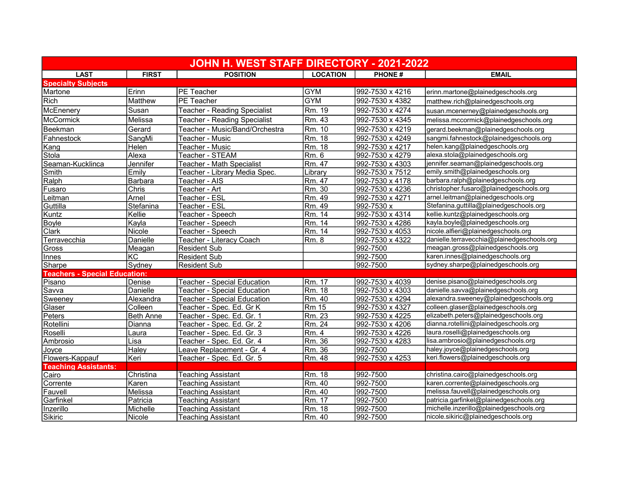| JOHN H. WEST STAFF DIRECTORY - 2021-2022 |                  |                                     |                 |                 |                                            |  |  |
|------------------------------------------|------------------|-------------------------------------|-----------------|-----------------|--------------------------------------------|--|--|
| <b>LAST</b>                              | <b>FIRST</b>     | <b>POSITION</b>                     | <b>LOCATION</b> | <b>PHONE#</b>   | <b>EMAIL</b>                               |  |  |
| <b>Specialty Subjects</b>                |                  |                                     |                 |                 |                                            |  |  |
| Martone                                  | Erinn            | <b>PE</b> Teacher                   | GYM             | 992-7530 x 4216 | erinn.martone@plainedgeschools.org         |  |  |
| Rich                                     | Matthew          | PE Teacher                          | <b>GYM</b>      | 992-7530 x 4382 | matthew.rich@plainedgeschools.org          |  |  |
| McEnenery                                | Susan            | <b>Teacher - Reading Specialist</b> | Rm. 19          | 992-7530 x 4274 | susan.mcenerney@plainedgeschools.org       |  |  |
| McCormick                                | Melissa          | <b>Teacher - Reading Specialist</b> | Rm. 43          | 992-7530 x 4345 | melissa.mccormick@plainedgeschools.org     |  |  |
| Beekman                                  | Gerard           | Teacher - Music/Band/Orchestra      | Rm. 10          | 992-7530 x 4219 | gerard.beekman@plainedgeschools.org        |  |  |
| Fahnestock                               | SangMi           | Teacher - Music                     | Rm. 18          | 992-7530 x 4249 | sangmi.fahnestock@plainedgeschools.org     |  |  |
| <u> Kang</u>                             | Helen            | Teacher - Music                     | Rm. 18          | 992-7530 x 4217 | helen.kang@plainedgeschools.org            |  |  |
| Stola                                    | Alexa            | Teacher - STEAM                     | Rm. 6           | 992-7530 x 4279 | alexa.stola@plainedgeschools.org           |  |  |
| Seaman-Kucklinca                         | Jennifer         | Teacher - Math Specialist           | Rm. 47          | 992-7530 x 4303 | jennifer.seaman@plainedgeschools.org       |  |  |
| Smith                                    | Emily            | Teacher - Library Media Spec.       | Library         | 992-7530 x 7512 | emily.smith@plainedgeschools.org           |  |  |
| Ralph                                    | Barbara          | Teacher - AIS                       | Rm. 47          | 992-7530 x 4178 | barbara.ralph@plainedgeschools.org         |  |  |
| Fusaro                                   | <b>Chris</b>     | Teacher - Art                       | Rm. 30          | 992-7530 x 4236 | christopher.fusaro@plainedgeschools.org    |  |  |
| Leitman                                  | Arnel            | Teacher - ESL                       | Rm. 49          | 992-7530 x 4271 | arnel.leitman@plainedgeschools.org         |  |  |
| Guttilla                                 | Stefanina        | Teacher - ESL                       | Rm. 49          | 992-7530 x      | Stefanina.guttilla@plainedgeschools.org    |  |  |
| Kuntz                                    | Kellie           | Teacher - Speech                    | Rm. 14          | 992-7530 x 4314 | kellie.kuntz@plainedgeschools.org          |  |  |
| Boyle                                    | Kayla            | Teacher - Speech                    | Rm. 14          | 992-7530 x 4286 | kayla.boyle@plainedgeschools.org           |  |  |
| Clark                                    | Nicole           | Teacher - Speech                    | IRm. 14         | 992-7530 x 4053 | nicole.alfieri@plainedgeschools.org        |  |  |
| Terravecchia                             | Danielle         | Teacher - Literacy Coach            | Rm. 8           | 992-7530 x 4322 | danielle.terravecchia@plainedgeschools.org |  |  |
| Gross                                    | Meagan           | <b>Resident Sub</b>                 |                 | 992-7500        | meagan.gross@plainedgeschools.org          |  |  |
| <b>Innes</b>                             | KC               | <b>Resident Sub</b>                 |                 | 992-7500        | karen.innes@plainedgeschools.org           |  |  |
| Sharpe                                   | Sydney           | <b>Resident Sub</b>                 |                 | 992-7500        | sydney.sharpe@plainedgeschools.org         |  |  |
| <b>Teachers - Special Education:</b>     |                  |                                     |                 |                 |                                            |  |  |
| Pisano                                   | Denise           | <b>Teacher - Special Education</b>  | Rm. 17          | 992-7530 x 4039 | denise.pisano@plainedgeschools.org         |  |  |
| Savva                                    | Danielle         | <b>Teacher - Special Education</b>  | Rm. 18          | 992-7530 x 4303 | danielle.savva@plainedgeschools.org        |  |  |
| Sweeney                                  | Alexandra        | <b>Teacher - Special Education</b>  | Rm. 40          | 992-7530 x 4294 | alexandra.sweeney@plainedgeschools.org     |  |  |
| Glaser                                   | Colleen          | Teacher - Spec. Ed. Gr K            | <b>Rm 15</b>    | 992-7530 x 4327 | colleen.glaser@plainedgeschools.org        |  |  |
| Peters                                   | <b>Beth Anne</b> | Teacher - Spec. Ed. Gr. 1           | Rm. 23          | 992-7530 x 4225 | elizabeth.peters@plainedgeschools.org      |  |  |
| Rotellini                                | Dianna           | Teacher - Spec. Ed. Gr. 2           | Rm. 24          | 992-7530 x 4206 | dianna.rotellini@plainedgeschools.org      |  |  |
| Roselli                                  | Laura            | Teacher - Spec. Ed. Gr. 3           | Rm. 4           | 992-7530 x 4226 | laura.roselli@plainedgeschools.org         |  |  |
| Ambrosio                                 | Lisa             | Teacher - Spec. Ed. Gr. 4           | Rm. 36          | 992-7530 x 4283 | lisa.ambrosio@plainedgeschools.org         |  |  |
| Joyce                                    | Haley            | eave Replacement - Gr. 4            | Rm. 36          | 992-7500        | haley.joyce@plainedgeschools.org           |  |  |
| Flowers-Kappauf                          | Keri             | Teacher - Spec. Ed. Gr. 5           | Rm. 48          | 992-7530 x 4253 | keri.flowers@plainedgeschools.org          |  |  |
| <b>Teaching Assistants:</b>              |                  |                                     |                 |                 |                                            |  |  |
| Cairo                                    | Christina        | <b>Teaching Assistant</b>           | Rm. 18          | 992-7500        | christina.cairo@plainedgeschools.org       |  |  |
| Corrente                                 | Karen            | <b>Teaching Assistant</b>           | Rm. 40          | 992-7500        | karen.corrente@plainedgeschools.org        |  |  |
| Fauvell                                  | Melissa          | <b>Teaching Assistant</b>           | Rm. 40          | 992-7500        | melissa.fauvell@plainedgeschools.org       |  |  |
| Garfinkel                                | Patricia         | <b>Teaching Assistant</b>           | Rm. 17          | 992-7500        | patricia.garfinkel@plainedgeschools.org    |  |  |
| Inzerillo                                | Michelle         | <b>Teaching Assistant</b>           | Rm. 18          | 992-7500        | michelle.inzerillo@plainedgeschools.org    |  |  |
| Sikiric                                  | Nicole           | <b>Teaching Assistant</b>           | Rm. 40          | 992-7500        | nicole.sikiric@plainedgeschools.org        |  |  |